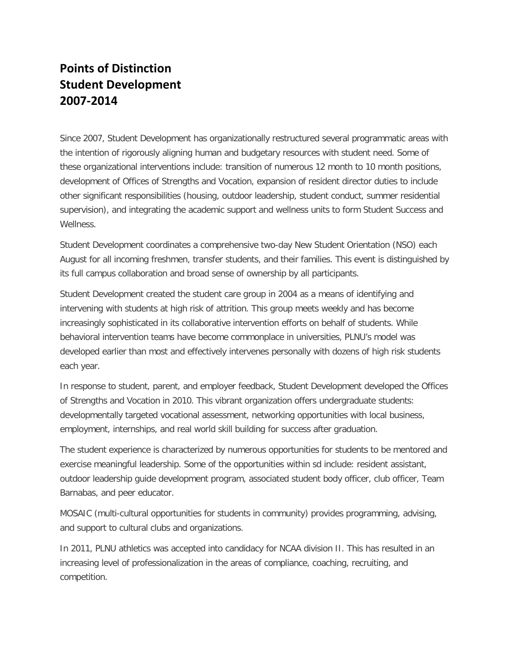## **Points of Distinction Student Development 2007-2014**

Since 2007, Student Development has organizationally restructured several programmatic areas with the intention of rigorously aligning human and budgetary resources with student need. Some of these organizational interventions include: transition of numerous 12 month to 10 month positions, development of Offices of Strengths and Vocation, expansion of resident director duties to include other significant responsibilities (housing, outdoor leadership, student conduct, summer residential supervision), and integrating the academic support and wellness units to form Student Success and Wellness.

Student Development coordinates a comprehensive two-day New Student Orientation (NSO) each August for all incoming freshmen, transfer students, and their families. This event is distinguished by its full campus collaboration and broad sense of ownership by all participants.

Student Development created the student care group in 2004 as a means of identifying and intervening with students at high risk of attrition. This group meets weekly and has become increasingly sophisticated in its collaborative intervention efforts on behalf of students. While behavioral intervention teams have become commonplace in universities, PLNU's model was developed earlier than most and effectively intervenes personally with dozens of high risk students each year.

In response to student, parent, and employer feedback, Student Development developed the Offices of Strengths and Vocation in 2010. This vibrant organization offers undergraduate students: developmentally targeted vocational assessment, networking opportunities with local business, employment, internships, and real world skill building for success after graduation.

The student experience is characterized by numerous opportunities for students to be mentored and exercise meaningful leadership. Some of the opportunities within sd include: resident assistant, outdoor leadership guide development program, associated student body officer, club officer, Team Barnabas, and peer educator.

MOSAIC (multi-cultural opportunities for students in community) provides programming, advising, and support to cultural clubs and organizations.

In 2011, PLNU athletics was accepted into candidacy for NCAA division II. This has resulted in an increasing level of professionalization in the areas of compliance, coaching, recruiting, and competition.